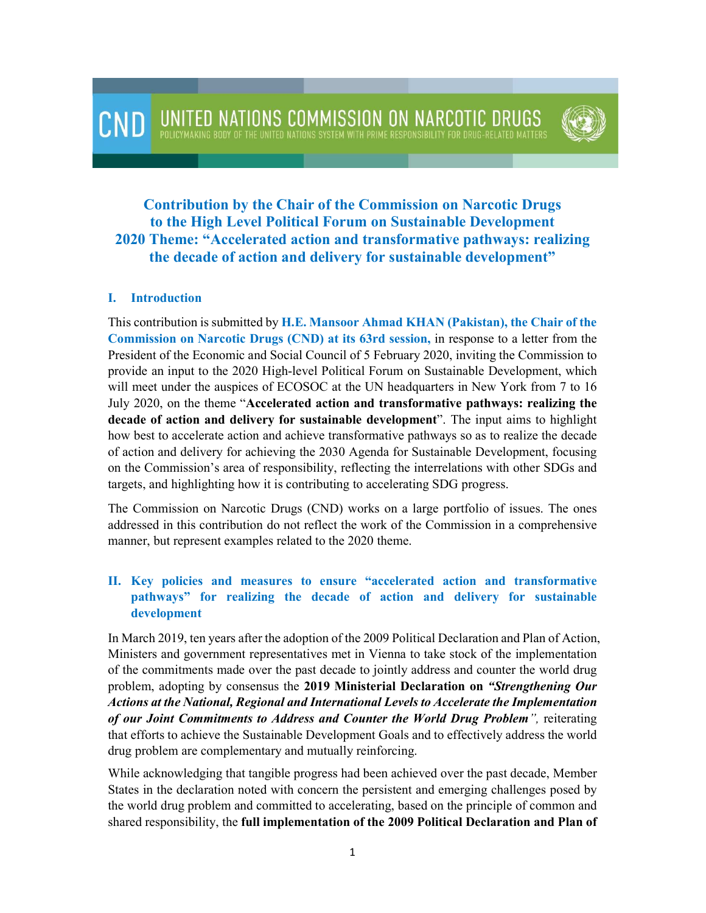

# **Contribution by the Chair of the Commission on Narcotic Drugs to the High Level Political Forum on Sustainable Development 2020 Theme: "Accelerated action and transformative pathways: realizing the decade of action and delivery for sustainable development"**

#### **I. Introduction**

This contribution is submitted by **H.E. Mansoor Ahmad KHAN (Pakistan), the Chair of the Commission on Narcotic Drugs (CND) at its 63rd session,** in response to a letter from the President of the Economic and Social Council of 5 February 2020, inviting the Commission to provide an input to the 2020 High-level Political Forum on Sustainable Development, which will meet under the auspices of ECOSOC at the UN headquarters in New York from 7 to 16 July 2020, on the theme "**Accelerated action and transformative pathways: realizing the decade of action and delivery for sustainable development**". The input aims to highlight how best to accelerate action and achieve transformative pathways so as to realize the decade of action and delivery for achieving the 2030 Agenda for Sustainable Development, focusing on the Commission's area of responsibility, reflecting the interrelations with other SDGs and targets, and highlighting how it is contributing to accelerating SDG progress.

The Commission on Narcotic Drugs (CND) works on a large portfolio of issues. The ones addressed in this contribution do not reflect the work of the Commission in a comprehensive manner, but represent examples related to the 2020 theme.

### **II. Key policies and measures to ensure "accelerated action and transformative pathways" for realizing the decade of action and delivery for sustainable development**

In March 2019, ten years after the adoption of the 2009 Political Declaration and Plan of Action, Ministers and government representatives met in Vienna to take stock of the implementation of the commitments made over the past decade to jointly address and counter the world drug problem, adopting by consensus the **2019 Ministerial Declaration on** *"Strengthening Our Actions at the National, Regional and International Levels to Accelerate the Implementation of our Joint Commitments to Address and Counter the World Drug Problem",* reiterating that efforts to achieve the Sustainable Development Goals and to effectively address the world drug problem are complementary and mutually reinforcing.

While acknowledging that tangible progress had been achieved over the past decade, Member States in the declaration noted with concern the persistent and emerging challenges posed by the world drug problem and committed to accelerating, based on the principle of common and shared responsibility, the **full implementation of the 2009 Political Declaration and Plan of**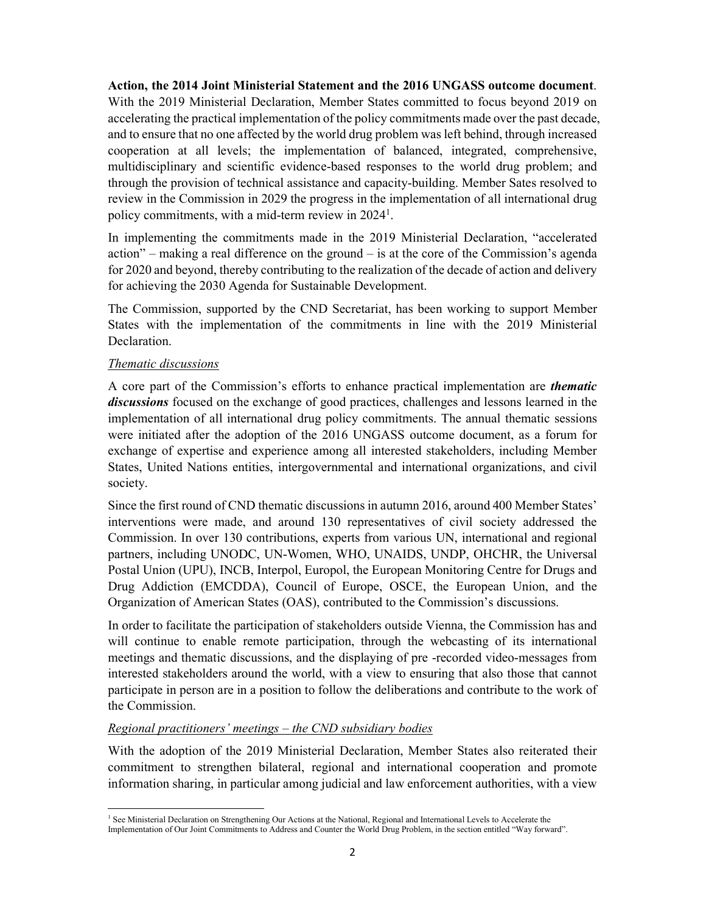**Action, the 2014 Joint Ministerial Statement and the 2016 UNGASS outcome document**. With the 2019 Ministerial Declaration, Member States committed to focus beyond 2019 on accelerating the practical implementation of the policy commitments made over the past decade, and to ensure that no one affected by the world drug problem was left behind, through increased cooperation at all levels; the implementation of balanced, integrated, comprehensive, multidisciplinary and scientific evidence-based responses to the world drug problem; and through the provision of technical assistance and capacity-building. Member Sates resolved to review in the Commission in 2029 the progress in the implementation of all international drug policy commitments, with a mid-term review in 2024<sup>1</sup>.

In implementing the commitments made in the 2019 Ministerial Declaration, "accelerated action" – making a real difference on the ground – is at the core of the Commission's agenda for 2020 and beyond, thereby contributing to the realization of the decade of action and delivery for achieving the 2030 Agenda for Sustainable Development.

The Commission, supported by the CND Secretariat, has been working to support Member States with the implementation of the commitments in line with the 2019 Ministerial Declaration.

#### *Thematic discussions*

.

A core part of the Commission's efforts to enhance practical implementation are *thematic discussions* focused on the exchange of good practices, challenges and lessons learned in the implementation of all international drug policy commitments. The annual thematic sessions were initiated after the adoption of the 2016 UNGASS outcome document, as a forum for exchange of expertise and experience among all interested stakeholders, including Member States, United Nations entities, intergovernmental and international organizations, and civil society.

Since the first round of CND thematic discussions in autumn 2016, around 400 Member States' interventions were made, and around 130 representatives of civil society addressed the Commission. In over 130 contributions, experts from various UN, international and regional partners, including UNODC, UN-Women, WHO, UNAIDS, UNDP, OHCHR, the Universal Postal Union (UPU), INCB, Interpol, Europol, the European Monitoring Centre for Drugs and Drug Addiction (EMCDDA), Council of Europe, OSCE, the European Union, and the Organization of American States (OAS), contributed to the Commission's discussions.

In order to facilitate the participation of stakeholders outside Vienna, the Commission has and will continue to enable remote participation, through the webcasting of its international meetings and thematic discussions, and the displaying of pre -recorded video-messages from interested stakeholders around the world, with a view to ensuring that also those that cannot participate in person are in a position to follow the deliberations and contribute to the work of the Commission.

#### *Regional practitioners' meetings – the CND subsidiary bodies*

With the adoption of the 2019 Ministerial Declaration, Member States also reiterated their commitment to strengthen bilateral, regional and international cooperation and promote information sharing, in particular among judicial and law enforcement authorities, with a view

<sup>&</sup>lt;sup>1</sup> See Ministerial Declaration on Strengthening Our Actions at the National, Regional and International Levels to Accelerate the Implementation of Our Joint Commitments to Address and Counter the World Drug Problem, in the section entitled "Way forward".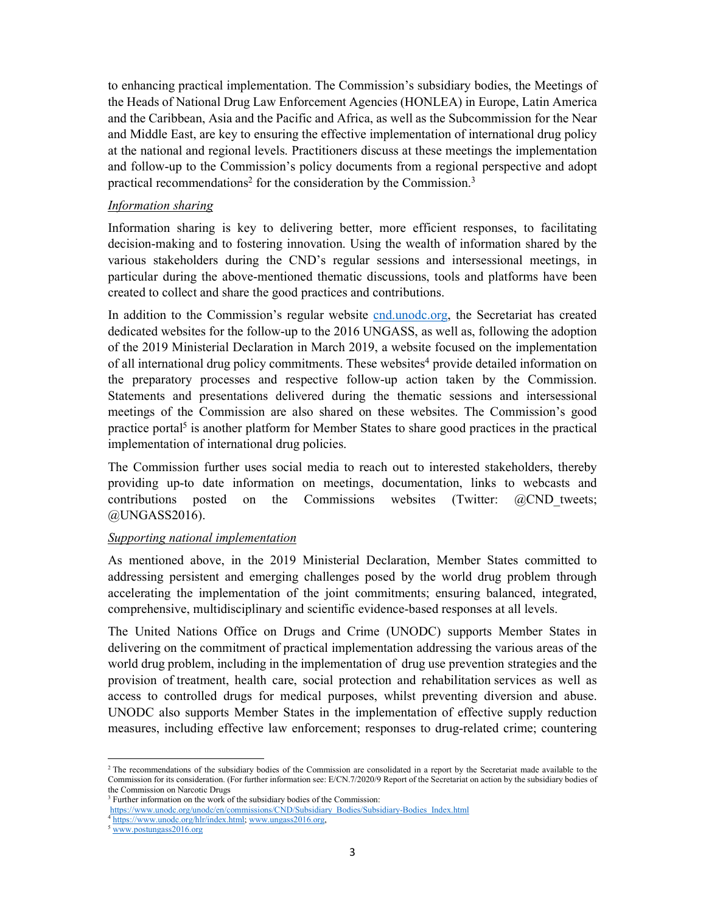to enhancing practical implementation. The Commission's subsidiary bodies, the Meetings of the Heads of National Drug Law Enforcement Agencies (HONLEA) in Europe, Latin America and the Caribbean, Asia and the Pacific and Africa, as well as the Subcommission for the Near and Middle East, are key to ensuring the effective implementation of international drug policy at the national and regional levels. Practitioners discuss at these meetings the implementation and follow-up to the Commission's policy documents from a regional perspective and adopt practical recommendations<sup>2</sup> for the consideration by the Commission.<sup>3</sup>

#### *Information sharing*

Information sharing is key to delivering better, more efficient responses, to facilitating decision-making and to fostering innovation. Using the wealth of information shared by the various stakeholders during the CND's regular sessions and intersessional meetings, in particular during the above-mentioned thematic discussions, tools and platforms have been created to collect and share the good practices and contributions.

In addition to the Commission's regular website cnd.unodc.org, the Secretariat has created dedicated websites for the follow-up to the 2016 UNGASS, as well as, following the adoption of the 2019 Ministerial Declaration in March 2019, a website focused on the implementation of all international drug policy commitments. These websites<sup>4</sup> provide detailed information on the preparatory processes and respective follow-up action taken by the Commission. Statements and presentations delivered during the thematic sessions and intersessional meetings of the Commission are also shared on these websites. The Commission's good practice portal<sup>5</sup> is another platform for Member States to share good practices in the practical implementation of international drug policies.

The Commission further uses social media to reach out to interested stakeholders, thereby providing up-to date information on meetings, documentation, links to webcasts and contributions posted on the Commissions websites (Twitter:  $\omega$ CND tweets; @UNGASS2016).

#### *Supporting national implementation*

As mentioned above, in the 2019 Ministerial Declaration, Member States committed to addressing persistent and emerging challenges posed by the world drug problem through accelerating the implementation of the joint commitments; ensuring balanced, integrated, comprehensive, multidisciplinary and scientific evidence-based responses at all levels.

The United Nations Office on Drugs and Crime (UNODC) supports Member States in delivering on the commitment of practical implementation addressing the various areas of the world drug problem, including in the implementation of drug use prevention strategies and the provision of treatment, health care, social protection and rehabilitation services as well as access to controlled drugs for medical purposes, whilst preventing diversion and abuse. UNODC also supports Member States in the implementation of effective supply reduction measures, including effective law enforcement; responses to drug-related crime; countering

<sup>&</sup>lt;sup>2</sup> The recommendations of the subsidiary bodies of the Commission are consolidated in a report by the Secretariat made available to the Commission for its consideration. (For further information see: E/CN.7/2020/9 Report of the Secretariat on action by the subsidiary bodies of the Commission on Narcotic Drugs

<sup>&</sup>lt;sup>3</sup> Further information on the work of the subsidiary bodies of the Commission:

https://www.unodc.org/unodc/en/commissions/CND/Subsidiary\_Bodies/Subsidiary-Bodies\_Index.html

<sup>&</sup>lt;sup>4</sup> https://www.unodc.org/hlr/index.html; www.ungass2016.org,

<sup>5</sup> www.postungass2016.org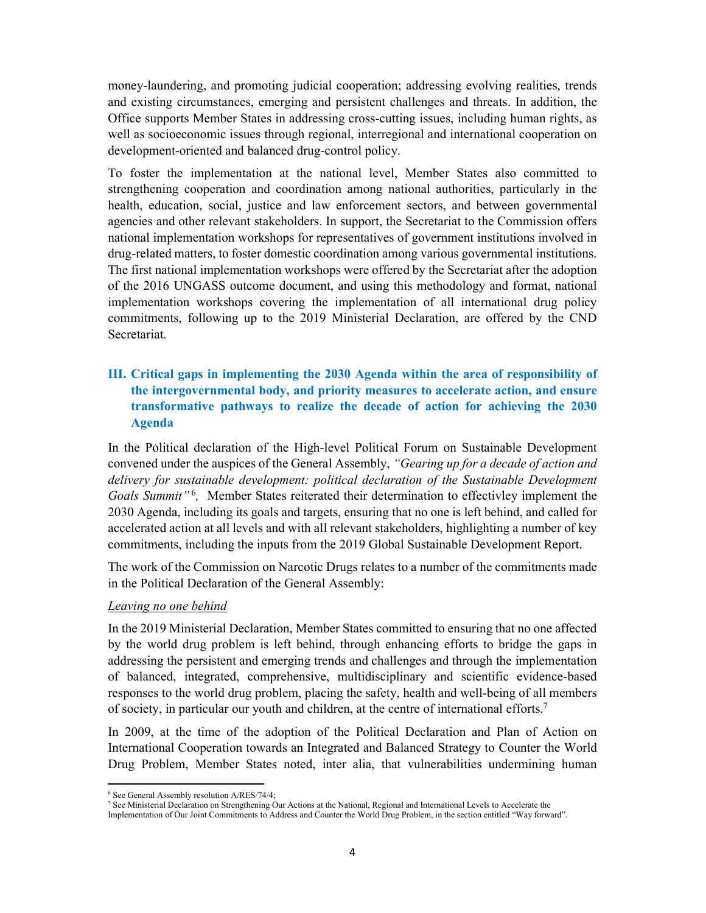money-laundering, and promoting judicial cooperation; addressing evolving realities, trends and existing circumstances, emerging and persistent challenges and threats. In addition, the Office supports Member States in addressing cross-cutting issues, including human rights, as well as socioeconomic issues through regional, interregional and international cooperation on development-oriented and balanced drug-control policy.

To foster the implementation at the national level, Member States also committed to strengthening cooperation and coordination among national authorities, particularly in the health, education, social, justice and law enforcement sectors, and between governmental agencies and other relevant stakeholders. In support, the Secretariat to the Commission offers national implementation workshops for representatives of government institutions involved in drug-related matters, to foster domestic coordination among various governmental institutions. The first national implementation workshops were offered by the Secretariat after the adoption of the 2016 UNGASS outcome document, and using this methodology and format, national implementation workshops covering the implementation of all international drug policy commitments, following up to the 2019 Ministerial Declaration, are offered by the CND Secretariat.

## **III. Critical gaps in implementing the 2030 Agenda within the area of responsibility of the intergovernmental body, and priority measures to accelerate action, and ensure transformative pathways to realize the decade of action for achieving the 2030 Agenda**

In the Political declaration of the High-level Political Forum on Sustainable Development convened under the auspices of the General Assembly, *"Gearing up for a decade of action and delivery for sustainable development: political declaration of the Sustainable Development*  Goals Summit"<sup>6</sup>, Member States reiterated their determination to effectivley implement the 2030 Agenda, including its goals and targets, ensuring that no one is left behind, and called for accelerated action at all levels and with all relevant stakeholders, highlighting a number of key commitments, including the inputs from the 2019 Global Sustainable Development Report.

The work of the Commission on Narcotic Drugs relates to a number of the commitments made in the Political Declaration of the General Assembly:

#### *Leaving no one behind*

In the 2019 Ministerial Declaration, Member States committed to ensuring that no one affected by the world drug problem is left behind, through enhancing efforts to bridge the gaps in addressing the persistent and emerging trends and challenges and through the implementation of balanced, integrated, comprehensive, multidisciplinary and scientific evidence-based responses to the world drug problem, placing the safety, health and well-being of all members of society, in particular our youth and children, at the centre of international efforts.<sup>7</sup>

In 2009, at the time of the adoption of the Political Declaration and Plan of Action on International Cooperation towards an Integrated and Balanced Strategy to Counter the World Drug Problem, Member States noted, inter alia, that vulnerabilities undermining human

.

<sup>6</sup> See General Assembly resolution A/RES/74/4;

<sup>7</sup> See Ministerial Declaration on Strengthening Our Actions at the National, Regional and International Levels to Accelerate the

Implementation of Our Joint Commitments to Address and Counter the World Drug Problem, in the section entitled "Way forward".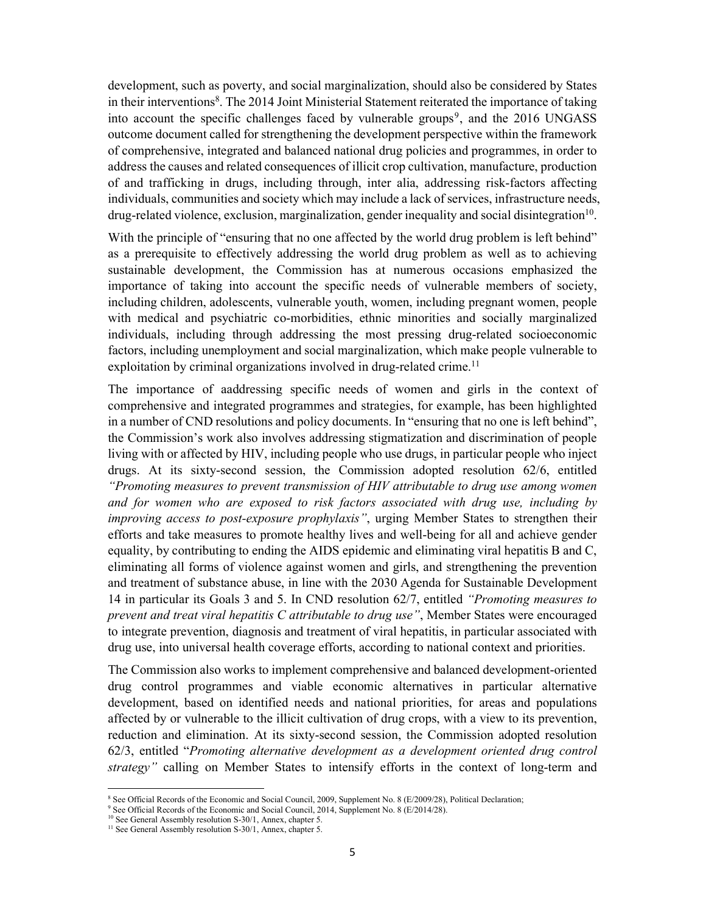development, such as poverty, and social marginalization, should also be considered by States in their interventions<sup>8</sup>. The 2014 Joint Ministerial Statement reiterated the importance of taking into account the specific challenges faced by vulnerable groups<sup>9</sup>, and the 2016 UNGASS outcome document called for strengthening the development perspective within the framework of comprehensive, integrated and balanced national drug policies and programmes, in order to address the causes and related consequences of illicit crop cultivation, manufacture, production of and trafficking in drugs, including through, inter alia, addressing risk-factors affecting individuals, communities and society which may include a lack of services, infrastructure needs, drug-related violence, exclusion, marginalization, gender inequality and social disintegration<sup>10</sup>.

With the principle of "ensuring that no one affected by the world drug problem is left behind" as a prerequisite to effectively addressing the world drug problem as well as to achieving sustainable development, the Commission has at numerous occasions emphasized the importance of taking into account the specific needs of vulnerable members of society, including children, adolescents, vulnerable youth, women, including pregnant women, people with medical and psychiatric co-morbidities, ethnic minorities and socially marginalized individuals, including through addressing the most pressing drug-related socioeconomic factors, including unemployment and social marginalization, which make people vulnerable to exploitation by criminal organizations involved in drug-related crime.<sup>11</sup>

The importance of aaddressing specific needs of women and girls in the context of comprehensive and integrated programmes and strategies, for example, has been highlighted in a number of CND resolutions and policy documents. In "ensuring that no one is left behind", the Commission's work also involves addressing stigmatization and discrimination of people living with or affected by HIV, including people who use drugs, in particular people who inject drugs. At its sixty-second session, the Commission adopted resolution 62/6, entitled *"Promoting measures to prevent transmission of HIV attributable to drug use among women and for women who are exposed to risk factors associated with drug use, including by improving access to post-exposure prophylaxis"*, urging Member States to strengthen their efforts and take measures to promote healthy lives and well-being for all and achieve gender equality, by contributing to ending the AIDS epidemic and eliminating viral hepatitis B and C, eliminating all forms of violence against women and girls, and strengthening the prevention and treatment of substance abuse, in line with the 2030 Agenda for Sustainable Development 14 in particular its Goals 3 and 5. In CND resolution 62/7, entitled *"Promoting measures to prevent and treat viral hepatitis C attributable to drug use"*, Member States were encouraged to integrate prevention, diagnosis and treatment of viral hepatitis, in particular associated with drug use, into universal health coverage efforts, according to national context and priorities.

The Commission also works to implement comprehensive and balanced development-oriented drug control programmes and viable economic alternatives in particular alternative development, based on identified needs and national priorities, for areas and populations affected by or vulnerable to the illicit cultivation of drug crops, with a view to its prevention, reduction and elimination. At its sixty-second session, the Commission adopted resolution 62/3, entitled "*Promoting alternative development as a development oriented drug control strategy"* calling on Member States to intensify efforts in the context of long-term and

<sup>&</sup>lt;sup>8</sup> See Official Records of the Economic and Social Council, 2009, Supplement No. 8 (E/2009/28), Political Declaration;

<sup>&</sup>lt;sup>9</sup> See Official Records of the Economic and Social Council, 2014, Supplement No. 8 (E/2014/28).

<sup>&</sup>lt;sup>10</sup> See General Assembly resolution S-30/1, Annex, chapter 5.

<sup>&</sup>lt;sup>11</sup> See General Assembly resolution S-30/1, Annex, chapter 5.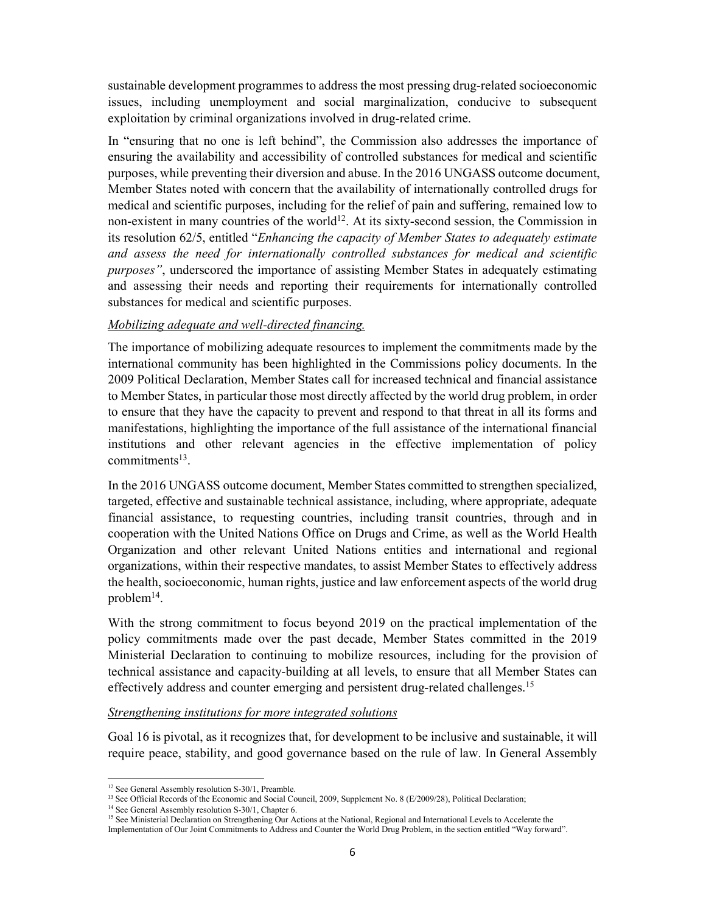sustainable development programmes to address the most pressing drug-related socioeconomic issues, including unemployment and social marginalization, conducive to subsequent exploitation by criminal organizations involved in drug-related crime.

In "ensuring that no one is left behind", the Commission also addresses the importance of ensuring the availability and accessibility of controlled substances for medical and scientific purposes, while preventing their diversion and abuse. In the 2016 UNGASS outcome document, Member States noted with concern that the availability of internationally controlled drugs for medical and scientific purposes, including for the relief of pain and suffering, remained low to non-existent in many countries of the world<sup>12</sup>. At its sixty-second session, the Commission in its resolution 62/5, entitled "*Enhancing the capacity of Member States to adequately estimate and assess the need for internationally controlled substances for medical and scientific purposes"*, underscored the importance of assisting Member States in adequately estimating and assessing their needs and reporting their requirements for internationally controlled substances for medical and scientific purposes.

#### *Mobilizing adequate and well-directed financing.*

The importance of mobilizing adequate resources to implement the commitments made by the international community has been highlighted in the Commissions policy documents. In the 2009 Political Declaration, Member States call for increased technical and financial assistance to Member States, in particular those most directly affected by the world drug problem, in order to ensure that they have the capacity to prevent and respond to that threat in all its forms and manifestations, highlighting the importance of the full assistance of the international financial institutions and other relevant agencies in the effective implementation of policy commitments<sup>13</sup>.

In the 2016 UNGASS outcome document, Member States committed to strengthen specialized, targeted, effective and sustainable technical assistance, including, where appropriate, adequate financial assistance, to requesting countries, including transit countries, through and in cooperation with the United Nations Office on Drugs and Crime, as well as the World Health Organization and other relevant United Nations entities and international and regional organizations, within their respective mandates, to assist Member States to effectively address the health, socioeconomic, human rights, justice and law enforcement aspects of the world drug problem<sup>14</sup>.

With the strong commitment to focus beyond 2019 on the practical implementation of the policy commitments made over the past decade, Member States committed in the 2019 Ministerial Declaration to continuing to mobilize resources, including for the provision of technical assistance and capacity-building at all levels, to ensure that all Member States can effectively address and counter emerging and persistent drug-related challenges.<sup>15</sup>

#### *Strengthening institutions for more integrated solutions*

Goal 16 is pivotal, as it recognizes that, for development to be inclusive and sustainable, it will require peace, stability, and good governance based on the rule of law. In General Assembly

<sup>&</sup>lt;sup>12</sup> See General Assembly resolution S-30/1, Preamble.

<sup>&</sup>lt;sup>13</sup> See Official Records of the Economic and Social Council, 2009, Supplement No. 8 (E/2009/28), Political Declaration;

<sup>&</sup>lt;sup>14</sup> See General Assembly resolution S-30/1, Chapter 6.

<sup>&</sup>lt;sup>15</sup> See Ministerial Declaration on Strengthening Our Actions at the National, Regional and International Levels to Accelerate the

Implementation of Our Joint Commitments to Address and Counter the World Drug Problem, in the section entitled "Way forward".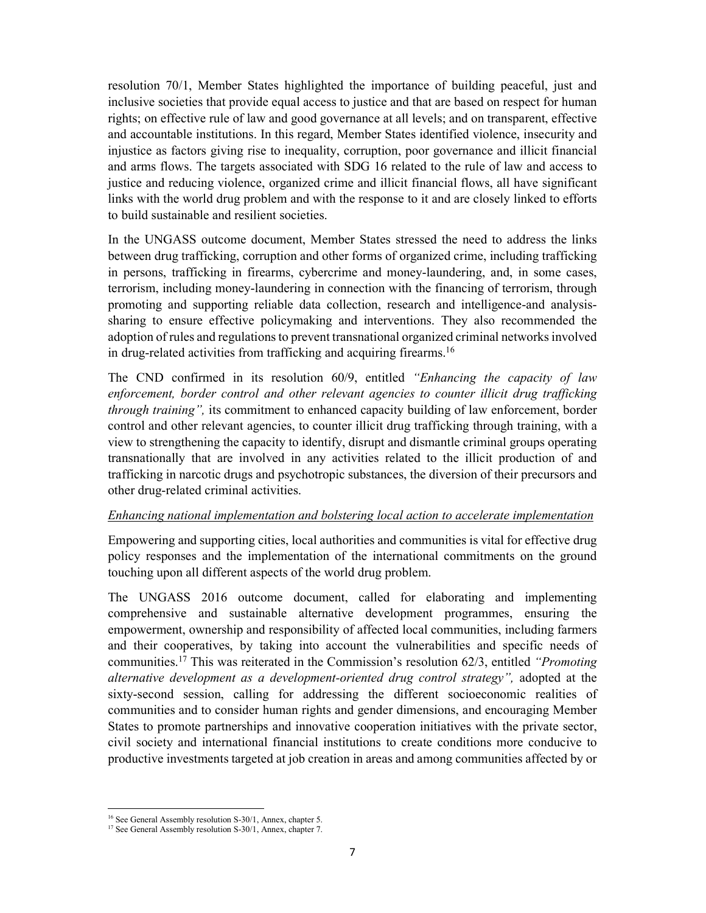resolution 70/1, Member States highlighted the importance of building peaceful, just and inclusive societies that provide equal access to justice and that are based on respect for human rights; on effective rule of law and good governance at all levels; and on transparent, effective and accountable institutions. In this regard, Member States identified violence, insecurity and injustice as factors giving rise to inequality, corruption, poor governance and illicit financial and arms flows. The targets associated with SDG 16 related to the rule of law and access to justice and reducing violence, organized crime and illicit financial flows, all have significant links with the world drug problem and with the response to it and are closely linked to efforts to build sustainable and resilient societies.

In the UNGASS outcome document, Member States stressed the need to address the links between drug trafficking, corruption and other forms of organized crime, including trafficking in persons, trafficking in firearms, cybercrime and money-laundering, and, in some cases, terrorism, including money-laundering in connection with the financing of terrorism, through promoting and supporting reliable data collection, research and intelligence-and analysissharing to ensure effective policymaking and interventions. They also recommended the adoption of rules and regulations to prevent transnational organized criminal networks involved in drug-related activities from trafficking and acquiring firearms.<sup>16</sup>

The CND confirmed in its resolution 60/9, entitled *"Enhancing the capacity of law*  enforcement, border control and other relevant agencies to counter illicit drug trafficking *through training",* its commitment to enhanced capacity building of law enforcement, border control and other relevant agencies, to counter illicit drug trafficking through training, with a view to strengthening the capacity to identify, disrupt and dismantle criminal groups operating transnationally that are involved in any activities related to the illicit production of and trafficking in narcotic drugs and psychotropic substances, the diversion of their precursors and other drug-related criminal activities.

#### *Enhancing national implementation and bolstering local action to accelerate implementation*

Empowering and supporting cities, local authorities and communities is vital for effective drug policy responses and the implementation of the international commitments on the ground touching upon all different aspects of the world drug problem.

The UNGASS 2016 outcome document, called for elaborating and implementing comprehensive and sustainable alternative development programmes, ensuring the empowerment, ownership and responsibility of affected local communities, including farmers and their cooperatives, by taking into account the vulnerabilities and specific needs of communities.<sup>17</sup> This was reiterated in the Commission's resolution 62/3, entitled *"Promoting alternative development as a development-oriented drug control strategy",* adopted at the sixty-second session, calling for addressing the different socioeconomic realities of communities and to consider human rights and gender dimensions, and encouraging Member States to promote partnerships and innovative cooperation initiatives with the private sector, civil society and international financial institutions to create conditions more conducive to productive investments targeted at job creation in areas and among communities affected by or

.

<sup>&</sup>lt;sup>16</sup> See General Assembly resolution S-30/1, Annex, chapter 5.

<sup>&</sup>lt;sup>17</sup> See General Assembly resolution S-30/1, Annex, chapter 7.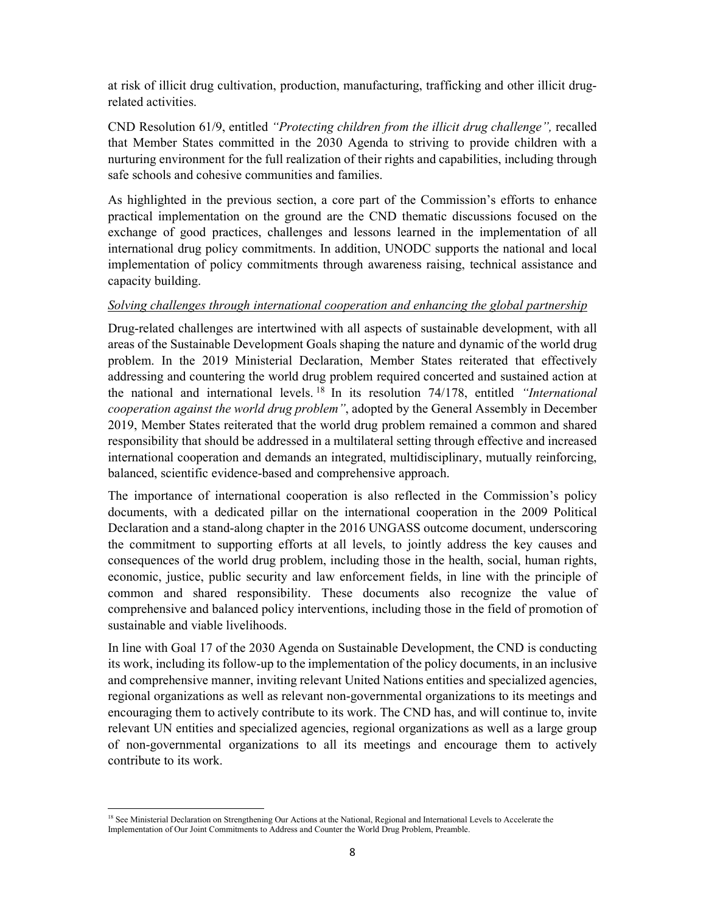at risk of illicit drug cultivation, production, manufacturing, trafficking and other illicit drugrelated activities.

CND Resolution 61/9, entitled *"Protecting children from the illicit drug challenge",* recalled that Member States committed in the 2030 Agenda to striving to provide children with a nurturing environment for the full realization of their rights and capabilities, including through safe schools and cohesive communities and families.

As highlighted in the previous section, a core part of the Commission's efforts to enhance practical implementation on the ground are the CND thematic discussions focused on the exchange of good practices, challenges and lessons learned in the implementation of all international drug policy commitments. In addition, UNODC supports the national and local implementation of policy commitments through awareness raising, technical assistance and capacity building.

## *Solving challenges through international cooperation and enhancing the global partnership*

Drug-related challenges are intertwined with all aspects of sustainable development, with all areas of the Sustainable Development Goals shaping the nature and dynamic of the world drug problem. In the 2019 Ministerial Declaration, Member States reiterated that effectively addressing and countering the world drug problem required concerted and sustained action at the national and international levels. <sup>18</sup> In its resolution 74/178, entitled *"International cooperation against the world drug problem"*, adopted by the General Assembly in December 2019, Member States reiterated that the world drug problem remained a common and shared responsibility that should be addressed in a multilateral setting through effective and increased international cooperation and demands an integrated, multidisciplinary, mutually reinforcing, balanced, scientific evidence-based and comprehensive approach.

The importance of international cooperation is also reflected in the Commission's policy documents, with a dedicated pillar on the international cooperation in the 2009 Political Declaration and a stand-along chapter in the 2016 UNGASS outcome document, underscoring the commitment to supporting efforts at all levels, to jointly address the key causes and consequences of the world drug problem, including those in the health, social, human rights, economic, justice, public security and law enforcement fields, in line with the principle of common and shared responsibility. These documents also recognize the value of comprehensive and balanced policy interventions, including those in the field of promotion of sustainable and viable livelihoods.

In line with Goal 17 of the 2030 Agenda on Sustainable Development, the CND is conducting its work, including its follow-up to the implementation of the policy documents, in an inclusive and comprehensive manner, inviting relevant United Nations entities and specialized agencies, regional organizations as well as relevant non-governmental organizations to its meetings and encouraging them to actively contribute to its work. The CND has, and will continue to, invite relevant UN entities and specialized agencies, regional organizations as well as a large group of non-governmental organizations to all its meetings and encourage them to actively contribute to its work.

.

<sup>&</sup>lt;sup>18</sup> See Ministerial Declaration on Strengthening Our Actions at the National, Regional and International Levels to Accelerate the Implementation of Our Joint Commitments to Address and Counter the World Drug Problem, Preamble.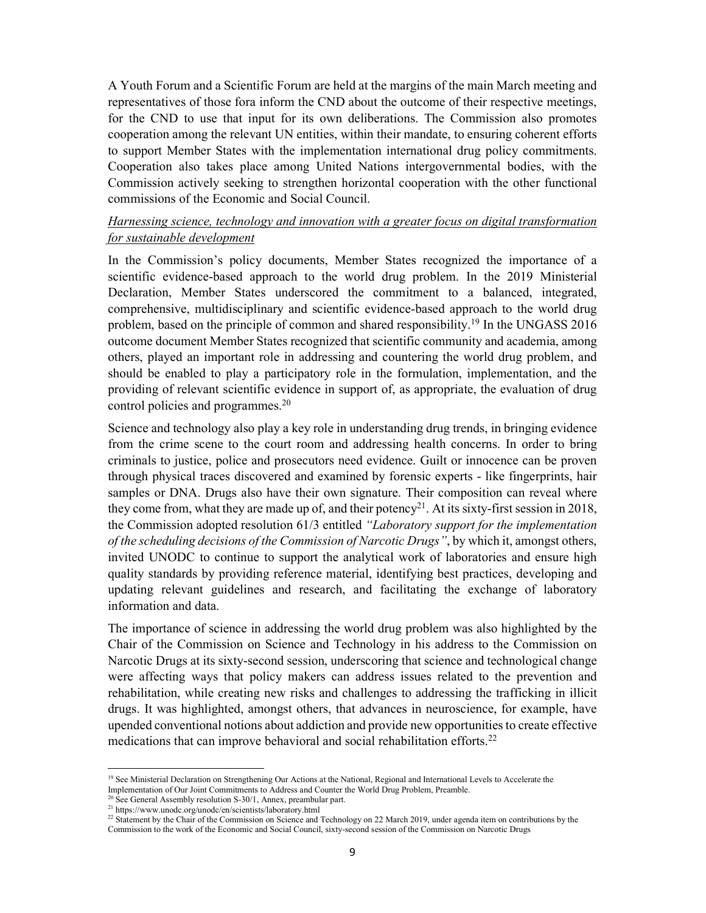A Youth Forum and a Scientific Forum are held at the margins of the main March meeting and representatives of those fora inform the CND about the outcome of their respective meetings, for the CND to use that input for its own deliberations. The Commission also promotes cooperation among the relevant UN entities, within their mandate, to ensuring coherent efforts to support Member States with the implementation international drug policy commitments. Cooperation also takes place among United Nations intergovernmental bodies, with the Commission actively seeking to strengthen horizontal cooperation with the other functional commissions of the Economic and Social Council.

### *Harnessing science, technology and innovation with a greater focus on digital transformation for sustainable development*

In the Commission's policy documents, Member States recognized the importance of a scientific evidence-based approach to the world drug problem. In the 2019 Ministerial Declaration, Member States underscored the commitment to a balanced, integrated, comprehensive, multidisciplinary and scientific evidence-based approach to the world drug problem, based on the principle of common and shared responsibility.<sup>19</sup> In the UNGASS 2016 outcome document Member States recognized that scientific community and academia, among others, played an important role in addressing and countering the world drug problem, and should be enabled to play a participatory role in the formulation, implementation, and the providing of relevant scientific evidence in support of, as appropriate, the evaluation of drug control policies and programmes.<sup>20</sup>

Science and technology also play a key role in understanding drug trends, in bringing evidence from the crime scene to the court room and addressing health concerns. In order to bring criminals to justice, police and prosecutors need evidence. Guilt or innocence can be proven through physical traces discovered and examined by forensic experts - like fingerprints, hair samples or DNA. Drugs also have their own signature. Their composition can reveal where they come from, what they are made up of, and their potency<sup>21</sup>. At its sixty-first session in 2018, the Commission adopted resolution 61/3 entitled *"Laboratory support for the implementation of the scheduling decisions of the Commission of Narcotic Drugs"*, by which it, amongst others, invited UNODC to continue to support the analytical work of laboratories and ensure high quality standards by providing reference material, identifying best practices, developing and updating relevant guidelines and research, and facilitating the exchange of laboratory information and data.

The importance of science in addressing the world drug problem was also highlighted by the Chair of the Commission on Science and Technology in his address to the Commission on Narcotic Drugs at its sixty-second session, underscoring that science and technological change were affecting ways that policy makers can address issues related to the prevention and rehabilitation, while creating new risks and challenges to addressing the trafficking in illicit drugs. It was highlighted, amongst others, that advances in neuroscience, for example, have upended conventional notions about addiction and provide new opportunities to create effective medications that can improve behavioral and social rehabilitation efforts.<sup>22</sup>

<sup>&</sup>lt;sup>19</sup> See Ministerial Declaration on Strengthening Our Actions at the National, Regional and International Levels to Accelerate the Implementation of Our Joint Commitments to Address and Counter the World Drug Problem, Preamble.

 $20$  See General Assembly resolution S-30/1, Annex, preambular part.

<sup>21</sup> https://www.unodc.org/unodc/en/scientists/laboratory.html

 $\frac{22}{2}$  Statement by the Chair of the Commission on Science and Technology on 22 March 2019, under agenda item on contributions by the Commission to the work of the Economic and Social Council, sixty-second session of the Commission on Narcotic Drugs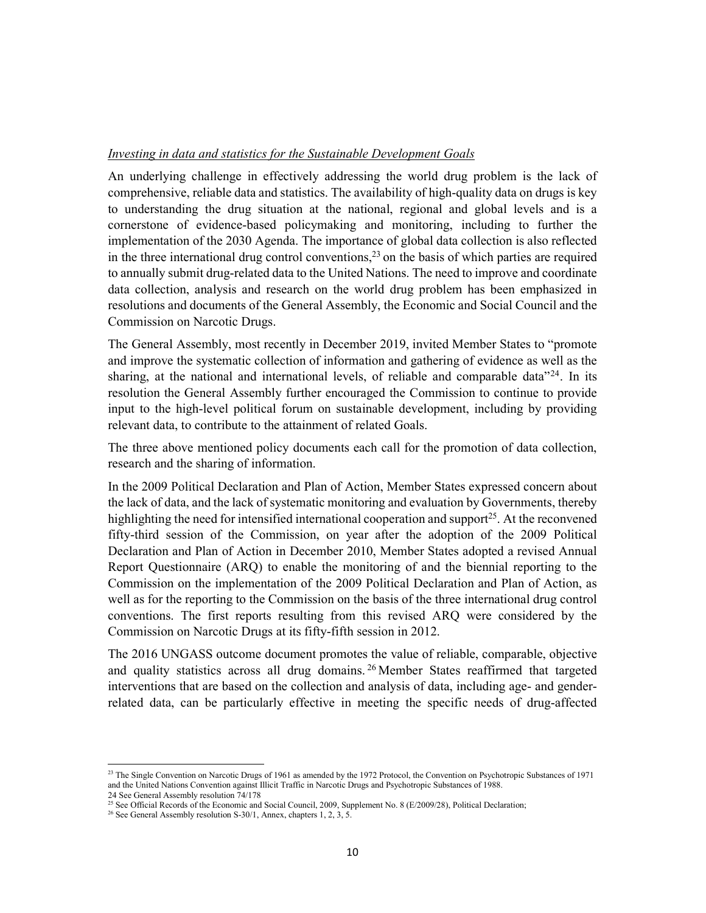#### *Investing in data and statistics for the Sustainable Development Goals*

An underlying challenge in effectively addressing the world drug problem is the lack of comprehensive, reliable data and statistics. The availability of high-quality data on drugs is key to understanding the drug situation at the national, regional and global levels and is a cornerstone of evidence-based policymaking and monitoring, including to further the implementation of the 2030 Agenda. The importance of global data collection is also reflected in the three international drug control conventions, $2<sup>3</sup>$  on the basis of which parties are required to annually submit drug-related data to the United Nations. The need to improve and coordinate data collection, analysis and research on the world drug problem has been emphasized in resolutions and documents of the General Assembly, the Economic and Social Council and the Commission on Narcotic Drugs.

The General Assembly, most recently in December 2019, invited Member States to "promote and improve the systematic collection of information and gathering of evidence as well as the sharing, at the national and international levels, of reliable and comparable data<sup> $24$ </sup>. In its resolution the General Assembly further encouraged the Commission to continue to provide input to the high-level political forum on sustainable development, including by providing relevant data, to contribute to the attainment of related Goals.

The three above mentioned policy documents each call for the promotion of data collection, research and the sharing of information.

In the 2009 Political Declaration and Plan of Action, Member States expressed concern about the lack of data, and the lack of systematic monitoring and evaluation by Governments, thereby highlighting the need for intensified international cooperation and support<sup>25</sup>. At the reconvened fifty-third session of the Commission, on year after the adoption of the 2009 Political Declaration and Plan of Action in December 2010, Member States adopted a revised Annual Report Questionnaire (ARQ) to enable the monitoring of and the biennial reporting to the Commission on the implementation of the 2009 Political Declaration and Plan of Action, as well as for the reporting to the Commission on the basis of the three international drug control conventions. The first reports resulting from this revised ARQ were considered by the Commission on Narcotic Drugs at its fifty-fifth session in 2012.

The 2016 UNGASS outcome document promotes the value of reliable, comparable, objective and quality statistics across all drug domains.<sup>26</sup> Member States reaffirmed that targeted interventions that are based on the collection and analysis of data, including age- and genderrelated data, can be particularly effective in meeting the specific needs of drug-affected

<u>.</u>

<sup>&</sup>lt;sup>23</sup> The Single Convention on Narcotic Drugs of 1961 as amended by the 1972 Protocol, the Convention on Psychotropic Substances of 1971 and the United Nations Convention against Illicit Traffic in Narcotic Drugs and Psychotropic Substances of 1988. 24 See General Assembly resolution 74/178

<sup>&</sup>lt;sup>25</sup> See Official Records of the Economic and Social Council, 2009, Supplement No. 8 (E/2009/28), Political Declaration;

<sup>&</sup>lt;sup>26</sup> See General Assembly resolution S-30/1, Annex, chapters 1, 2, 3, 5.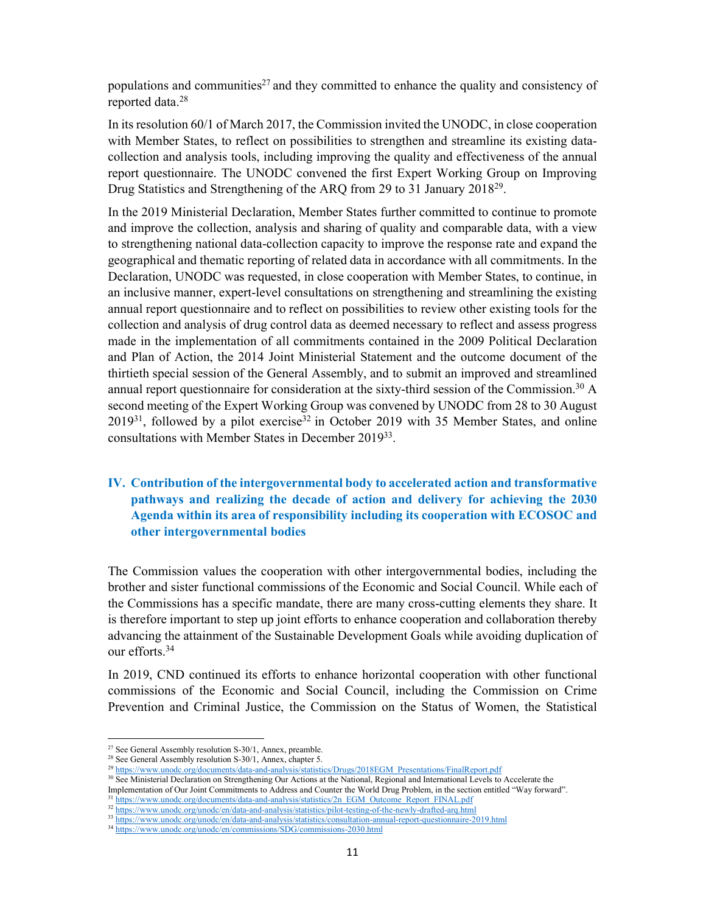populations and communities<sup>27</sup> and they committed to enhance the quality and consistency of reported data.<sup>28</sup>

In its resolution 60/1 of March 2017, the Commission invited the UNODC, in close cooperation with Member States, to reflect on possibilities to strengthen and streamline its existing datacollection and analysis tools, including improving the quality and effectiveness of the annual report questionnaire. The UNODC convened the first Expert Working Group on Improving Drug Statistics and Strengthening of the ARQ from 29 to 31 January 2018<sup>29</sup>.

In the 2019 Ministerial Declaration, Member States further committed to continue to promote and improve the collection, analysis and sharing of quality and comparable data, with a view to strengthening national data-collection capacity to improve the response rate and expand the geographical and thematic reporting of related data in accordance with all commitments. In the Declaration, UNODC was requested, in close cooperation with Member States, to continue, in an inclusive manner, expert-level consultations on strengthening and streamlining the existing annual report questionnaire and to reflect on possibilities to review other existing tools for the collection and analysis of drug control data as deemed necessary to reflect and assess progress made in the implementation of all commitments contained in the 2009 Political Declaration and Plan of Action, the 2014 Joint Ministerial Statement and the outcome document of the thirtieth special session of the General Assembly, and to submit an improved and streamlined annual report questionnaire for consideration at the sixty-third session of the Commission.<sup>30</sup> A second meeting of the Expert Working Group was convened by UNODC from 28 to 30 August  $2019^{31}$ , followed by a pilot exercise<sup>32</sup> in October 2019 with 35 Member States, and online consultations with Member States in December 2019<sup>33</sup>.

# **IV. Contribution of the intergovernmental body to accelerated action and transformative pathways and realizing the decade of action and delivery for achieving the 2030 Agenda within its area of responsibility including its cooperation with ECOSOC and other intergovernmental bodies**

The Commission values the cooperation with other intergovernmental bodies, including the brother and sister functional commissions of the Economic and Social Council. While each of the Commissions has a specific mandate, there are many cross-cutting elements they share. It is therefore important to step up joint efforts to enhance cooperation and collaboration thereby advancing the attainment of the Sustainable Development Goals while avoiding duplication of our efforts.<sup>34</sup>

In 2019, CND continued its efforts to enhance horizontal cooperation with other functional commissions of the Economic and Social Council, including the Commission on Crime Prevention and Criminal Justice, the Commission on the Status of Women, the Statistical

<sup>&</sup>lt;sup>27</sup> See General Assembly resolution S-30/1, Annex, preamble.

<sup>&</sup>lt;sup>28</sup> See General Assembly resolution S-30/1, Annex, chapter 5.

<sup>29</sup> https://www.unodc.org/documents/data-and-analysis/statistics/Drugs/2018EGM\_Presentations/FinalReport.pdf

<sup>&</sup>lt;sup>30</sup> See Ministerial Declaration on Strengthening Our Actions at the National, Regional and International Levels to Accelerate the Implementation of Our Joint Commitments to Address and Counter the World Drug Problem, in the section entitled "Way forward".

https://www.unodc.org/documents/data-and-analysis/statistics/2n\_EGM\_Outcome\_Report\_FINAL.pdf 32 https://www.unodc.org/unodc/en/data-and-analysis/statistics/pilot-testing-of-the-newly-drafted-arq.html

<sup>33</sup> https://www.unodc.org/unodc/en/data-and-analysis/statistics/consultation-annual-report-questionnaire-2019.html

<sup>34</sup> https://www.unodc.org/unodc/en/commissions/SDG/commissions-2030.html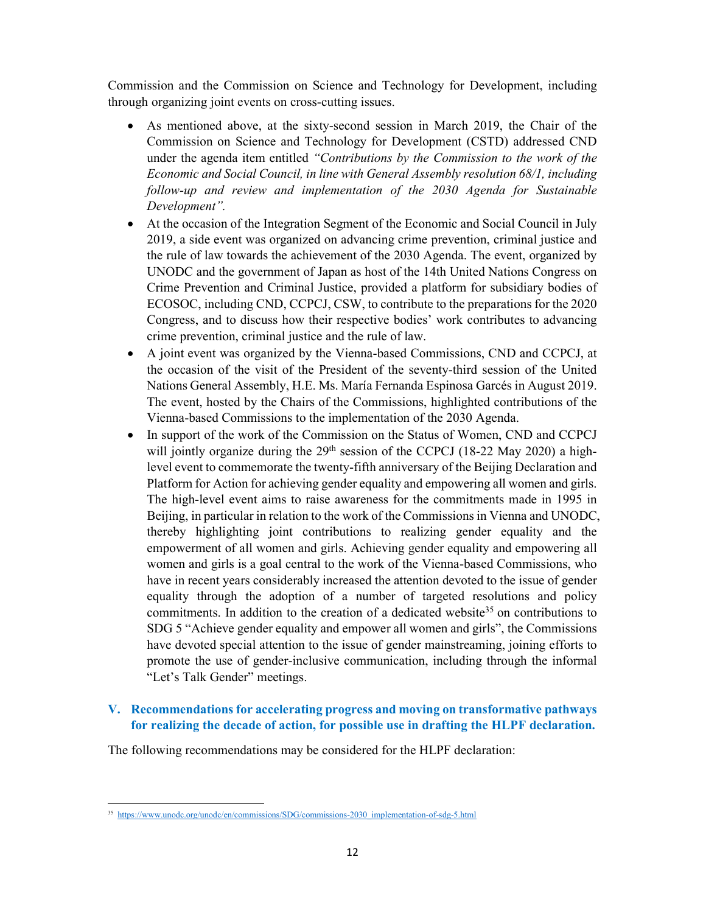Commission and the Commission on Science and Technology for Development, including through organizing joint events on cross-cutting issues.

- As mentioned above, at the sixty-second session in March 2019, the Chair of the Commission on Science and Technology for Development (CSTD) addressed CND under the agenda item entitled *"Contributions by the Commission to the work of the Economic and Social Council, in line with General Assembly resolution 68/1, including follow-up and review and implementation of the 2030 Agenda for Sustainable Development".*
- At the occasion of the Integration Segment of the Economic and Social Council in July 2019, a side event was organized on advancing crime prevention, criminal justice and the rule of law towards the achievement of the 2030 Agenda. The event, organized by UNODC and the government of Japan as host of the 14th United Nations Congress on Crime Prevention and Criminal Justice, provided a platform for subsidiary bodies of ECOSOC, including CND, CCPCJ, CSW, to contribute to the preparations for the 2020 Congress, and to discuss how their respective bodies' work contributes to advancing crime prevention, criminal justice and the rule of law.
- A joint event was organized by the Vienna-based Commissions, CND and CCPCJ, at the occasion of the visit of the President of the seventy-third session of the United Nations General Assembly, H.E. Ms. María Fernanda Espinosa Garcés in August 2019. The event, hosted by the Chairs of the Commissions, highlighted contributions of the Vienna-based Commissions to the implementation of the 2030 Agenda.
- In support of the work of the Commission on the Status of Women, CND and CCPCJ will jointly organize during the 29<sup>th</sup> session of the CCPCJ (18-22 May 2020) a highlevel event to commemorate the twenty-fifth anniversary of the Beijing Declaration and Platform for Action for achieving gender equality and empowering all women and girls. The high-level event aims to raise awareness for the commitments made in 1995 in Beijing, in particular in relation to the work of the Commissions in Vienna and UNODC, thereby highlighting joint contributions to realizing gender equality and the empowerment of all women and girls. Achieving gender equality and empowering all women and girls is a goal central to the work of the Vienna-based Commissions, who have in recent years considerably increased the attention devoted to the issue of gender equality through the adoption of a number of targeted resolutions and policy commitments. In addition to the creation of a dedicated website<sup>35</sup> on contributions to SDG 5 "Achieve gender equality and empower all women and girls", the Commissions have devoted special attention to the issue of gender mainstreaming, joining efforts to promote the use of gender-inclusive communication, including through the informal "Let's Talk Gender" meetings.

## **V. Recommendations for accelerating progress and moving on transformative pathways for realizing the decade of action, for possible use in drafting the HLPF declaration.**

The following recommendations may be considered for the HLPF declaration:

<u>.</u>

<sup>&</sup>lt;sup>35</sup> https://www.unodc.org/unodc/en/commissions/SDG/commissions-2030\_implementation-of-sdg-5.html